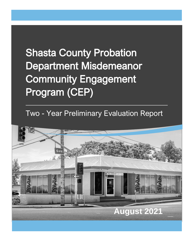# **Shasta County Probation** Department Misdemeanor Community Engagement Program (CEP)

Two - Year Preliminary Evaluation Report

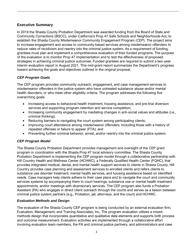#### **Executive Summary**

In 2019 the Shasta County Probation Department was awarded funding from the Board of State and Community Corrections (BSCC), under California's Prop 47 Safe Schools and Neighborhoods Act, to establish the Shasta County Misdemeanor Community Engagement Program (CEP). The project aims to increase engagement and access to community-based services among misdemeanor offenders to reduce rates of recidivism and reentry into the criminal justice system. As a requirement of funding, grantees must plan and implement a comprehensive evaluation of their funded programs. The purpose of the evaluation is to monitor Prop 47 implementation and to test the effectiveness of proposed strategies in achieving criminal justice outcomes. Funded grantees are required to submit a two-year interim evaluation report in August 2021. This mid-grant report summarizes the Department's progress toward achieving the goals and objectives outlined in the original proposal.

#### *CEP Program Goals*

The CEP program provides community outreach, engagement, and case management services to misdemeanor offenders in the justice system who have untreated substance abuse and/or mental health disorders, or who meet other eligibility criteria. The program addresses the following five overarching goals:

- Increasing access to behavioral health treatment, housing assistance, and pre-trial diversion services and supporting program retention and service completion;
- Increasing community engagement by mediating changes in anti-social values and attitudes (i.e., criminal thinking);
- Reducing barriers to navigating the court system among participating clients;
- Improving court attendance among misdemeanor offenders, including those with a history of repeated offenses or failure to appear (FTA); and
- Preventing further criminal behavior, arrest, and/or reentry into the criminal justice system.

#### *CEP Program Model*

The Shasta County Probation Department provides management and oversight of the CEP grant program in coordination with the Shasta Prop 47 local advisory committee. The Shasta County Probation Department is implementing the CEP program model through a collaborative partnership with Hill Country Health and Wellness Center (HCHWC), a Federally Qualified Health Center (FQHC), that provides integrated medical, dental, and mental health support services to clients in Shasta County. Hill Country provides case planning and assessment services to enrolled clients and refers clients to substance use disorder treatment, mental health services, and housing assistance based on identified needs. Case managers help clients adhere to their case plans and to navigate the court and community services systems by accompanying them to court hearings, substance use or mental health treatment appointments, and/or meetings with diversionary services. The CEP program also funds a Probation Assistant (PA) who engages in direct client outreach through the courts and serves as a liaison between criminal justice system partners (e.g., Probation, jail, attorneys, and the court) and HCHWC.

#### *Evaluation Methods and Design*

The evaluation of the Shasta County CEP program is being conducted by an external evaluation firm, Evaluation, Management, and Training Associates, Inc. The program evaluation utilizes a mixedmethods design that incorporates quantitative and qualitative data elements and supports both process and outcome measurement. Evaluation activities are implemented through a collaborative effort involving evaluation team members, the PA and criminal justice partners, and administrators and case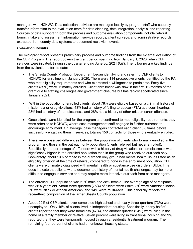managers with HCHWC. Data collection activities are managed locally by program staff who securely transfer information to the evaluation team for data cleaning, data integration, analysis, and reporting. Sources of data supporting both the process and outcome evaluation components include referral forms, intake and assessment information, service records, client surveys, and administrative records extracted from county data systems to document recidivism events.

#### *Evaluation Results*

The mid-grant report presents preliminary process and outcome findings from the external evaluation of the CEP Program. The report covers the grant period spanning from January 1, 2020, when CEP services were initiated, through the quarter ending June 30, 2021 (Q7). The following are key findings from the evaluation effort to date:

- The Shasta County Probation Department began identifying and referring CEP clients to HCHWC for enrollment in January 2020. There were 114 prospective clients identified by the PA who met eligibility requirements and who expressed a willingness to participate. Forty-five clients (39%) were ultimately enrolled. Client enrollment was slow in the first 12-months of the grant due to staffing challenges and government closures but has rapidly accelerated since January 2021.
- Within the population of enrolled clients, about 78% were eligible based on a criminal history of misdemeanor drug violations, 43% had a history of failing to appear (FTA) at a court hearing, 28% had a history of homelessness, and 28% had a history of other misdemeanor offenses.
- Once clients were identified for the program and confirmed to meet eligibility requirements, they were referred to HCHWC, where case management staff engaged in further outreach to encourage enrollment. On average, case managers contacted each client 3.8 times before successfully engaging them in services, totaling 150 contacts for those who eventually enrolled.
- There were observed differences between the population of clients who formally enrolled in the program and those in the outreach only population (clients referred but never enrolled). Specifically, the percentage of offenders with a history of drug violations or homelessness was significantly higher in the enrolled population than in the group who received outreach only. Conversely, about 13% of those in the outreach only group had mental health issues listed as an eligibility criterion at the time of referral, compared to none in the enrollment population. CEP clients were ultimately diagnosed with mental health or substance use disorders (SUD). This does indicate that clients with a documented history of mental health challenges may be more difficult to engage in services and may require more intensive outreach from case managers.
- The enrolled CEP population was 62% male and 38% female. The average age of participants was 36.5 years old. About three-quarters (75%) of clients were White, 8% were American Indian, 3% were Black or African American, and 14% were multi-racial. This generally reflects the race/ethnic composition of the larger Shasta County population.
- About 29% of CEP clients never completed high school and nearly three-quarters (73%) were unemployed. Only 16% of clients lived in independent housing. Specifically, nearly half of clients reported that they were homeless (47%), and another quarter (24%) were living in the home of a family member or relative. Seven percent were living in transitional housing and 9% reported that they were temporarily housed through a residential treatment program. The remaining four percent of clients had an unknown housing status.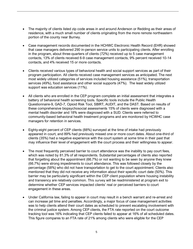- The majority of clients listed zip code areas in and around Anderson or Redding as their areas of residence, with a much small number of clients originating from the more remote northeastern portion of the county near Burney.
- Case management records documented in the HCHWC Electronic Health Record (EHR) showed that case managers delivered 290 in-person service units to participating clients. After enrolling in the program, about three-quarters of clients (72%) received up to 5 case management contacts, 13% of clients received 6-9 case management contacts, 9% percent received 10-14 contacts, and 4% received 15 or more contacts.
- Clients received various types of behavioral health and social support services as part of their program participation. All clients received case management services as anticipated. The next most widely utilized categories of services included housing assistance (51%), transportation services (49%), food assistance and other social supports (47%). The least widely utilized support was education services (11%).
- All clients who are enrolled in the CEP program complete an initial assessment that integrates a battery of behavioral health screening tools. Specific tools include the Public Health Questionnaire-9, GAD-7, Opioid Risk Tool, SBIRT, AUDIT, and the DAST. Based on results of these comprehensive biopsychosocial assessments 15% of clients were diagnosed with a mental health disorder and 18% were diagnosed with a SUD. Clients were referred to community-based behavioral health treatment programs and are monitored by HCWHC case managers for retention in services.
- Eighty-eight percent of CEP clients (88%) surveyed at the time of intake had previously appeared in court, and 89% had previously missed one or more court dates. About one-third of clients (35%) had a negative experience with the court system at some time in their past that may influence their level of engagement with the court process and their willingness to appear.
- The most frequently perceived barrier to court attendance was the inability to pay court fees, which was noted by 81.3% of all respondents. Substantial percentages of clients also reported that forgetting about the appointment (66.7%) or not wanting to be seen by anyone they knew (66.7%) were strong impediments to court attendance. This was followed closely by the percentage (58%) who did not have transportation to get to the court appointment. Clients also mentioned that they did not receive any information about their specific court date (50%). This barrier may be particularly significant within the CEP client population where housing instability and transiency are relatively common. This survey will be readministered at program exit to determine whether CEP services impacted clients' real or perceived barriers to court engagement in these areas.
- Under California law, failing to appear in court may result in a bench warrant and re-arrest and can increase jail time and penalties. Accordingly, a major focus of case management activities was to help clients attend their court dates as scheduled to prevent escalating involvement with the criminal justice system. Among CEP clients, the FTA rate reported on the court outcome tracking tool was 16% indicating that CEP clients failed to appear at 16% of all scheduled dates. This figure compares to an FTA rate of 21% among clients who were eligible for the CEP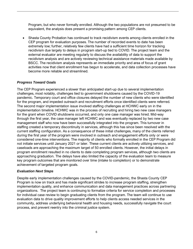Program, but who never formally enrolled. Although the two populations are not presumed to be equivalent, the analysis does present a promising pattern among CEP clients.

• Shasta County Probation has continued to track recidivism events among clients enrolled in the CEP program for evaluation purposes. The number of recorded events to date has been extremely low; further, relatively few clients have had a sufficient time horizon for tracking recidivism due largely to delays in program start-up tied to COVID. The project team and the external evaluator are meeting regularly to discuss the availability of data to support the recidivism analysis and are actively reviewing technical assistance materials made available by BSCC. The recidivism analysis represents an immediate priority and area of focus of grant activities now that client enrollment has begun to accelerate, and data collection processes have become more reliable and streamlined.

#### *Progress Toward Goals*

The CEP Program experienced a slower than anticipated start-up due to several implementation challenges, most notably, challenges tied to government shutdowns caused by the COVID-19 pandemic. Temporary court and office closures delayed the number of new clients who were identified for the program, and impeded outreach and recruitment efforts once identified clients were referred. The second major implementation issue involved staffing challenges at HCHWC early on in the implementation timeline. HCHWC was in the process of recruiting and hiring two new case managers for the grant when COVID shutdowns occurred, and only one case manager was hired. Mid-way through the first year, the case manager left HCHWC and was eventually replaced by two new case management staff who now have been successfully integrated into the program. This turnover in staffing created a temporary discontinuity in services, although this has since been resolved with the current staffing configuration. As a consequence of these initial challenges, many of the clients referred during the first year of the program were involved in outreach and engagement efforts only or were considered one-time interventions. The majority of clients who formally enrolled in the CEP Program did not initiate services until January 2021 or later. These current clients are actively utilizing services, and caseloads are approaching the maximum target of 50 enrolled clients. However, the initial delays in program enrollment resulted in no clients to date completing program services, although two clients are approaching graduation. The delays have also limited the capacity of the evaluation team to measure key program outcomes that are monitored over time (intake to completion) or to demonstrate achievement of targeted program goals.

#### *Evaluation Next Steps*

Despite early implementation challenges caused by the COVID-pandemic, the Shasta County CEP Program is now on track and has made significant strides to increase program staffing, strengthen implementation quality, and enhance communication and data management practices across partnering organizations. The project team is continuing to formalize criteria for service completion and processes for individual case review to begin graduating clients from the program. The team will continue to use evaluation data to drive quality improvement efforts to help clients access needed services in the community, address underlying behavioral health and housing needs, successfully navigate the court process, and prevent reentry into the criminal justice system.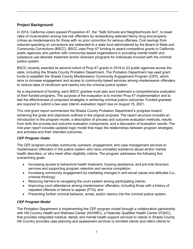#### **Project Background**

In 2014, California voters passed Proposition 47, the "Safe Schools and Neighborhoods Act", to lower rates of incarceration among low-risk offenders by reclassifying selected felony drug and property crimes as misdemeanors for those with no prior conviction for serious offenses. Cost savings from reduced spending on corrections are redirected to a state fund administered by the Board of State and Community Corrections (BSCC). BSCC uses Prop 47 funding to award competitive grants to California public agencies who partner with community-based organizations in providing mental health and substance use disorder treatment and/or diversion programs for individuals involved with the criminal justice system.

BSCC recently awarded its second cohort of Prop 47 grants in 2019 to 23 public agencies across the state, including the Shasta County Probation Department. The Probation Department has used grant funds to establish the Shasta County Misdemeanor Community Engagement Program (CEP), which aims to increase engagement and access to community-based services among misdemeanor offenders to reduce rates of recidivism and reentry into the criminal justice system.

As a requirement of funding, each BSCC grantee must plan and implement a comprehensive evaluation of their funded programs. The purpose of the evaluation is to monitor Prop 47 implementation and to test the effectiveness of proposed strategies in achieving criminal justice outcomes. Funded grantees are required to submit a two-year interim evaluation report due on August 15, 2021.

This mid-grant report summarizes the Shasta County Probation Department's progress toward achieving the goals and objectives outlined in the original proposal. The report structure includes an introduction to the program model, a description of process and outcome evaluation methods, results from both the process and outcome evaluation components, and a discussion of evaluation results. The mid-year report includes updated logic model that maps the relationships between program strategies and activities and their intended outcomes.

#### *CEP Program Goals*

The CEP program provides community outreach, engagement, and case management services to misdemeanor offenders in the justice system who have untreated substance abuse and/or mental health disorders, or who meet other eligibility criteria. The program addresses the following five overarching goals:

- Increasing access to behavioral health treatment, housing assistance, and pre-trial diversion services and supporting program retention and service completion;
- Increasing community engagement by mediating changes in anti-social values and attitudes (i.e., criminal thinking);
- Reducing barriers to navigating the court system among participating clients;
- Improving court attendance among misdemeanor offenders, including those with a history of repeated offenses or failure to appear (FTA); and
- Preventing further criminal behavior, arrest, and/or reentry into the criminal justice system.

#### *CEP Program Model*

The Probation Department is implementing the CEP program model through a collaborative partnership with Hill Country Health and Wellness Center (HCHWC), a Federally Qualified Health Center (FQHC), that provides integrated medical, dental, and mental health support services to clients in Shasta County. Hill Country provides case planning and assessment services to enrolled clients and refers clients to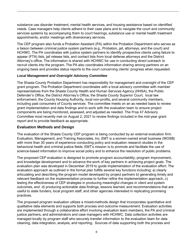substance use disorder treatment, mental health services, and housing assistance based on identified needs. Case managers help clients adhere to their case plans and to navigate the court and community services systems by accompanying them to court hearings, substance use or mental health treatment appointments, and/or meetings with diversionary services.

The CEP program also funds a Probation Assistant (PA) within the Probation Department who serves as a liaison between criminal justice system partners (e.g., Probation, jail, attorneys, and the court) and HCHWC. The PA coordinates with justice system partners to identify prospective clients using failure to appear (FTA) lists, jail release lists, and contact lists from local defense attorneys and the District Attorney's office. The information is shared with HCHWC for use in conducting direct outreach to recruit clients into the program. The PA also coordinates information sharing among partners on an ongoing basis and provides status reports to the court concerning clients' progress when requested.

#### *Local Management and Oversight Advisory Committee*

The Shasta County Probation Department has responsibility for management and oversight of the CEP grant program. The Probation Department coordinates with a local advisory committee with member representatives from the Shasta County Health and Human Services Agency (HHSA), the Public Defender's Office, the District Attorney's Office, the Shasta County Superior Court, local law enforcement, the County Housing Authority, local non-profits, and several community members, including past consumers of County services The committee meets on an as needed basis to review grant implementation and data findings and to work with the evaluation team to ensure project components are being monitored, assessed, and adjusted as needed. The Prop 47 Advisory Committee most recently met on August 2, 2021 to review findings included in the mid-year grant report and to provide feedback as appropriate.

#### **Evaluation Methods and Design**

The evaluation of the Shasta County CEP program is being conducted by an external evaluation firm. Evaluation, Management, and Training Associates, Inc. EMT is a women-owned small business (WOSB) with more than 30 years of experience conducting policy and evaluation research studies in the behavioral health and criminal justice fields. EMT's mission is to promote and facilitate the use of science-based information to improve social policy and to enhance the resolution of public problems.

The proposed CEP evaluation is designed to promote program accountability, program improvement, and knowledge development and to advance the work of key partners in achieving project goals. The evaluation plan was developed in December 2019 to guide implementation of the evaluation effort. The evaluation approach as outlined in the formal plan fulfills several key functions including: a) clearly articulating and describing the program model developed by project partners b) generating timely and relevant feedback on the implementation process to further refine the implementation approach, c) testing the effectiveness of CEP strategies in producing meaningful changes in client and system outcomes, and d) producing actionable data findings, lessons learned, and recommendations that are useful to state funders, local program staff, and other agencies interested in replicating promising practices.

The proposed program evaluation utilizes a mixed-methods design that incorporates quantitative and qualitative data elements and supports both process and outcome measurement. Evaluation activities are implemented through a collaborative effort involving evaluation team members, the PA and criminal justice partners, and administrators and case managers with HCHWC. Data collection activities are managed locally by program staff who securely transfer information to the evaluation team for data cleaning, data integration, analysis, and reporting. Sources of data supporting both the process and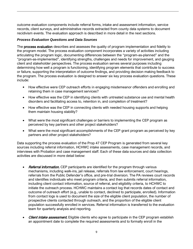outcome evaluation components include referral forms, intake and assessment information, service records, client surveys, and administrative records extracted from county data systems to document recidivism events. The evaluation approach is described in more detail in the next sections.

#### *Process Evaluation Questions and Data Sources*

The process evaluation describes and assesses the quality of program implementation and fidelity to the program model. The process evaluation component incorporates a variety of activities including articulating the program logic, documenting differences between the "program-as-planned" and the "program-as-implemented", identifying strengths, challenges and needs for improvement, and gauging client and stakeholder perspectives. The process evaluation serves several purposes including determining how well a program is functioning, identifying program elements that contribute to success or failure, supporting the interpretation of outcome findings, and providing decision making feedback to the program. The process evaluation is designed to answer six key process evaluation questions. These include:

- How effective were CEP outreach efforts in engaging misdemeanor offenders and enrolling and retaining them in case management services?
- How effective was the CEP in identifying clients with untreated substance use and mental health disorders and facilitating access to, retention in, and completion of treatment?
- How effective was the CEP in connecting clients with needed housing supports and helping them maintain housing stability?
- What were the most significant challenges or barriers to implementing the CEP program as perceived by key partners and other project stakeholders?
- What were the most significant accomplishments of the CEP grant program as perceived by key partners and other project stakeholders?

Data supporting the process evaluation of the Prop 47 CEP Program is generated from several key sources including referral information, HCHWC intake assessments, case management records, and interviews with Probation and case management staff. Each of these data sources and data collection activities are discussed in more detail below:

- Referral information. CEP participants are identified for the program through various mechanisms, including walk-ins, jail release, referrals from law enforcement, court hearings, referrals from the Public Defender's office, and pre-trial diversion. The PA reviews court records and identifies individuals who meet program criteria, and then submits referral information, including client contact information, source of referral, and eligibility criteria, to HCHWC to initiate the outreach process. HCHWC maintains a contact log that records dates of contact and outcome of outreach effort (e.g., unable to contact, declined to participate, enrolled). Information from contact logs is used to document the size of the eligible client population, the number of prospective clients contacted through outreach, and the proportion of the eligible client population successfully enrolled in services. Referral information is transferred to the evaluation team for quarterly analysis and reporting.
- **Client intake assessment.** Eligible clients who agree to participate in the CEP program establish an appointment date to complete the required assessments and to formally enroll in the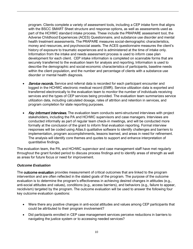program. Clients complete a variety of assessment tools, including a CEP intake form that aligns with the BSCC SMART Sheet structure and response options, as well as assessments used as part of the HCHWC standard intake process. These include the PRAPARE assessment tool, the Adverse Childhood Experiences (ACES) Questionnaire, and substance use disorder and mental health treatment assessments. The PRAPARE measures social-demographic characteristics, money and resources, and psychosocial assets. The ACES questionnaire measures the client's history of exposure to traumatic experiences and is administered at the time of intake only. Information from the intake and needs assessment process is used to inform case plan development for each client. CEP intake information is completed on scannable forms that are securely transferred to the evaluation team for analysis and reporting. Information is used to describe the demographic and social-economic characteristics of participants, baseline needs within the client population, and the number and percentage of clients with a substance use disorder or mental health diagnosis.

- **Service records.** Service and referral data is recorded for each participant encounter and logged in the HCHWC electronic medical record (EMR). Service utilization data is exported and transferred electronically to the evaluation team to monitor the number of individuals receiving services and the types of CEP services being provided. The evaluation team summarizes service utilization data, including calculated dosage, rates of attrition and retention in services, and program completion for state reporting purposes.
- Kev informant interviews. The evaluation team conducts semi-structured interviews with project stakeholders, including the PA and HCHWC supervisors and case managers. Interviews are conducted informally as part of regular team check-in meetings, and will be conducted more formally at the conclusion of the grant to inform final evaluation reporting. Formal interview responses will be coded using Atlas.ti qualitative software to identify challenges and barriers to implementation, program accomplishments, lessons learned, and areas in need for refinement. The analysis will identify core themes and quotes to support and enhance interpretation of quantitative findings.

The evaluation team, the PA, and HCHWC supervisor and case management staff have met regularly throughout the grant funded period to discuss process findings and to identify areas of strength as well as areas for future focus or need for improvement.

#### *Outcome Evaluation*

The **outcome evaluation** provides measurement of critical outcomes that are linked to the program intervention and are often reflected in the stated goals of the program. The purpose of the outcome evaluation is to determine the program's effectiveness in achieving desired changes in attitudes (e.g., anti-social attitudes and values), conditions (e.g., access barriers), and behaviors (e.g., failure to appear, recidivism) targeted by the program. The outcome evaluation will be used to answer the following four key outcome evaluation questions:

- Were there any positive changes in anti-social attitudes and values among CEP participants that could be attributed to their program involvement?
- Did participants enrolled in CEP case management services perceive reductions in barriers to navigating the justice system or to accessing needed services?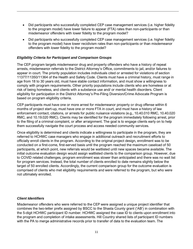- Did participants who successfully completed CEP case management services (i.e. higher fidelity to the program model) have lower failure to appear (FTA) rates than non-participants or than misdemeanor offenders with lower fidelity to the program model?
- Did participants who successfully completed CEP case management services (i.e. higher fidelity to the program model) have lower recidivism rates than non-participants or than misdemeanor offenders with lower fidelity to the program model?

#### *Eligibility Criteria for Participant and Comparison Groups*

The CEP program targets misdemeanor drug and property offenders who have a history of repeat arrests, misdemeanor referrals to the District Attorney's Office, commitments to jail, and/or failures to appear in court. The priority population includes individuals cited or arrested for violations of section 11377/11350/11364 of the Health and Safety Code. Clients must have a criminal history, must range in age from 18 to 30 years old, must have stable contact information, and must show a willingness to comply with program requirements. Other priority populations include clients who are homeless or at risk of being homeless, and clients with a substance use and/ or mental health disorders. Client eligibility for participation in the District Attorney's Pre-Filing Diversion/Crime Advocate Program is based on program eligibility criteria.

CEP participants must have one or more arrest for misdemeanor property or drug offense within 6 months of project start-up, must have one or more FTA in court, and must have a history of law enforcement contact, citations, or arrests for public nuisance violations (e.g., 10.40.010 RMC, 10.40.020 RMC, and 10.19.020 RMC). Clients may be identified for the program immediately following arrest, prior to the filing of a criminal complaint, or after arraignment. The goal is to engage clients early on to help them successfully navigate the court process and access needed community services.

Once eligibility is determined and clients indicate a willingness to participate in the program, they are referred to HCHWC case managers who engage in additional outreach and recruitment efforts to officially enroll clients in the program. According to the original project design, enrollment was to be conducted on a first-come, first-served basis until the program reached the maximum caseload of 50 participants, at which point, new referrals would be waitlisted until new spaces became available. The initial outcome evaluation design would assign waitlisted clients to the comparison group. However, due to COVID related challenges, program enrollment was slower than anticipated and there was no wait list for program services. Instead, the total number of clients enrolled to date remains slightly below the target of 50 enrolled clients. Accordingly, the current comparison group for the outcome evaluation is comprised of clients who met eligibility requirements and were referred to the program, but who were not ultimately enrolled.

#### *Client Identifiers*

Misdemeanor offenders who were referred to the CEP were assigned a unique project identifier that combines the two-letter prefix assigned by BSCC to the Shasta County grant ('AB') in combination with the 5-digit HCHWC participant ID number. HCHWC assigned the case ID to clients upon enrollment into the program and completion of intake assessments. Hill Country shared lists of participant ID numbers with the PA to merge administrative records prior to transfer of data to the evaluation team. The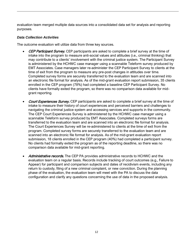evaluation team merged multiple data sources into a consolidated data set for analysis and reporting purposes.

#### *Data Collection Activities*

The outcome evaluation will utilize data from three key sources.

- CEP Participant Survey. CEP participants are asked to complete a brief survey at the time of intake into the program to measure anti-social values and attitudes (i.e., criminal thinking) that may contribute to a clients' involvement with the criminal justice system. The Participant Survey is administered by the HCHWC case manager using a scannable Teleform survey produced by EMT Associates. Case managers later re-administer the CEP Participant Survey to clients at the time of exit from the program to measure any pre-post changes in attitudes over time. Completed survey forms are securely transferred to the evaluation team and are scanned into an electronic file format for analysis. As of the mid-grant evaluation report submission, 35 clients enrolled in the CEP program (78%) had completed a baseline CEP Participant Survey. No clients have formally exited the program, so there was no comparison data available for midgrant reporting.
- **Court Experiences Survey.** CEP participants are asked to complete a brief survey at the time of intake to measure their history of court experiences and perceived barriers and challenges to navigating the criminal justice system and accessing services and supports in the community. The CEP Court Experiences Survey is administered by the HCHWC case manager using a scannable Teleform survey produced by EMT Associates. Completed surveys forms are transferred to the evaluation team and are scanned into an electronic file format for analysis. The Court Experiences Survey will be re-administered to clients at the time of exit from the program. Completed survey forms are securely transferred to the evaluation team and are scanned into an electronic file format for analysis. As of the mid-grant evaluation report submission, 18 clients enrolled in the CEP program (40%) had completed a participant survey. No clients had formally exited the program as of the reporting deadline, so there was no comparison data available for mid-grant reporting.
- Administrative records. The CEP PA provides administrative records to HCHWC and the evaluation team on a regular basis. Records include tracking of court outcomes (e.g., Failure to Appear) for participant and comparison subjects and dates of recidivism events, including any return to custody, filing of a new criminal complaint, or new conviction. During the planning phase of the evaluation, the evaluation team will meet with the PA to discuss the data configuration and clarify any questions concerning the use of data in the proposed analysis.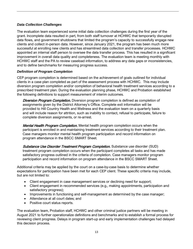#### *Data Collection Challenges*

The evaluation team experienced some initial data collection challenges during the first year of the grant. Incomplete data resulted in part, from both staff turnover at HCHWC that temporarily disrupted data flows, and government shutdowns that limited the program's capacity to successfully engage new clients and collect in-person data. However, since January 2021, the program has been much more successful at enrolling new clients and has streamlined data collection and transfer processes. HCHWC appointed an internal staff person to oversee the data transfer process. This has resulted in a significant improvement in overall data quality and completeness. The evaluation team is meeting monthly with HCHWC staff and the PA to review caseload information, to address any data gaps or inconsistencies, and to define benchmarks for measuring progress success.

#### *Definition of Program Completion*

CEP program completion is determined based on the achievement of goals outlined for individual clients in a case plan completed as part of the assessment process with HCHWC. This may include diversion program completion and/or completion of behavioral health treatment services according to a prescribed treatment plan. During the evaluation planning phase, HCHWC and Probation established the following definitions to support measurement of interim outcomes.

**Diversion Program Completion.** Diversion program completion is defined as completion of assignments given by the District Attorney's Office. Complete exit information will be provided to Hill Country Health and Wellness and the evaluation team on a quarterly basis and will include reason for attrition, such as inability to contact, refusal to participate, failure to complete diversion assignments, or re-arrest.

Mental Health Program Completion. Mental health program completion occurs when the participant is enrolled in and maintaining treatment services according to their treatment plan. Case managers monitor mental health program participation and record information on program attendance in the BSCC SMART Sheet.

Substance Use Disorder Treatment Program Completion. Substance use disorder (SUD) treatment program completion occurs when the participant completes all tasks and has made satisfactory progress outlined in the criteria of completion. Case managers monitor program participation and record information on program attendance in the BSCC SMART Sheet.

Additional criteria may be applied by the court on a case-by-case basis to determine whether expectations for participation have been met for each CEP client. These specific criteria may include, but are not limited to:

- Client engagement in case management services or declining need for support;
- Client engagement in recommended services (e.g., making appointments, participation and satisfactory progress);
- Improvements in functioning and self-management as determined by the case manager;
- Attendance at all court dates; and
- Positive court status reports.

The evaluation team, Probation staff, HCHWC and other criminal justice partners will be meeting in August 2021 to further operationalize definitions and benchmarks and to establish a formal process for reviewing client progress. Delays in program start-up and early implementation challenges had delayed this decision process.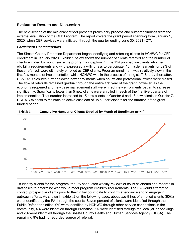#### **Evaluation Results and Discussion**

The next section of the mid-grant report presents preliminary process and outcome findings from the external evaluation of the CEP Program. The report covers the grant period spanning from January 1, 2020, when CEP services were initiated, through the quarter ending June 30, 2021 (Q7).

#### *Participant Characteristics*

The Shasta County Probation Department began identifying and referring clients to HCHWC for CEP enrollment in January 2020. Exhibit 1 below shows the number of clients referred and the number of clients enrolled by month since the program's inception. Of the 114 prospective clients who met eligibility requirements and who expressed a willingness to participate, 45 misdemeanants, or 39% of those referred, were ultimately enrolled as CEP clients. Program enrollment was relatively slow in the first few months of implementation while HCHWC was in the process of hiring staff. Shortly thereafter, COVID-19 closures further slowed new enrollments when courts and professional offices were closed. The flow of referrals remained gradual through the entire first year of the grant; however, as the economy reopened and new case management staff were hired, new enrollments began to increase significantly. Specifically, fewer than 5 new clients were enrolled in each of the first five quarters of implementation. That number increased to 15 new clients in Quarter 6 and 18 new clients in Quarter 7. HCHWC expects to maintain an active caseload of up 50 participants for the duration of the grant funded period.



Exhibit 1. **Cumulative Number of Clients Enrolled by Month of Enrollment (n=44)**

To identify clients for the program, the PA conducted weekly reviews of court calendars and records in databases to determine who would meet program eligibility requirements. The PA would attempt to contact prospective clients prior to their initial court date to confirm attendance and to engage in outreach efforts. As shown in exhibit 2 on the following page, about two-thirds of enrolled clients (60%) were identified by the PA through the courts. Seven percent of clients were identified through the Public Defender's office, 9% were identified by HCHWC through other service connections in the community, 4% were identified through Probation, 6% were identified through the local jail or bookings, and 2% were identified through the Shasta County Health and Human Services Agency (HHSA). The remaining 9% had no recorded source of referral.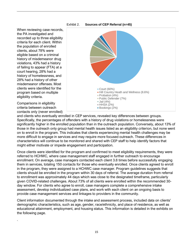

When reviewing case records, the PA investigated and recorded up to three eligibility criteria for each client. Within the population of enrolled clients, about 78% were eligible based on a criminal history of misdemeanor drug violations, 43% had a history of failing to appear (FTA) at a court hearing, 28% had a history of homelessness, and 28% had a history of other misdemeanor offenses. Most clients were identified for the program based on multiple eligibility criteria.

Comparisons in eligibility criteria between outreach contacts only (never enrolled)

.



and clients who eventually enrolled in CEP services, revealed key differences between groups. Specifically, the percentages of offenders with a history of drug violations or homelessness were significantly higher in the enrolled population than in the outreach population. Conversely, about 13% of those in the outreach only group had mental health issues listed as an eligibility criterion, but none went on to enroll in the program. This indicates that clients experiencing mental health challenges may be more difficult to engage in services and may require more focused outreach. These differences in characteristics will continue to be monitored and shared with CEP staff to help identify factors that might either motivate or impede engagement and participation.

Once clients were identified for the program and confirmed to meet eligibility requirements, they were referred to HCHWC, where case management staff engaged in further outreach to encourage enrollment. On average, case managers contacted each client 3.8 times before successfully engaging them in services, totaling 150 contacts for those who eventually enrolled. Once clients agreed to enroll in the program, they were assigned to a HCHWC case manager. Program guidelines suggests that clients should be enrolled in the program within 30 days of referral. The average duration from referral to enrollment was approximately 44 days which was close to the designated timeframe, particularly given COVID-related challenges. About 73% of all clients were enrolled within the recommended 30 day window. For clients who agree to enroll, case managers complete a comprehensive intake assessment, develop individualized case plans, and work with each client on an ongoing basis to provide case management services and linkages to providers in the community.

Client information documented through the intake and assessment process, included data on clients' demographic characteristics, such as age, gender, race/ethnicity, and place of residence, as well as educational attainment, employment, and housing status. This information is detailed in the exhibits on the following page.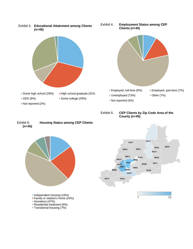

#### Exhibit 6. **Housing Status among CEP Clients (n=45)**



**Independent housing (16%)** 

- **Family or relative's home (24%)**
- Homeless (47%)
- Residential treatment (9%)
- **Transitional housing (7%)**

#### Exhibit 5. **CEP Clients by Zip Code Area of the County (n=45)**



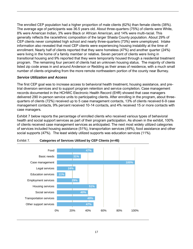The enrolled CEP population had a higher proportion of male clients (62%) than female clients (38%). The average age of participants was 36.5 years old. About three-quarters (75%) of clients were White, 8% were American Indian, 3% were Black or African American, and 14% were multi-racial. This generally reflects the race/ethnic composition of the larger Shasta County population. About 29% of CEP clients never completed high school and nearly three-quarters (73%) were unemployed. Intake information also revealed that most CEP clients were experiencing housing instability at the time of enrollment. Nearly half of clients reported that they were homeless (47%) and another quarter (24%) were living in the home of a family member or relative. Seven percent of clients were living in transitional housing and 9% reported that they were temporarily housed through a residential treatment program. The remaining four percent of clients had an unknown housing status. The majority of clients listed zip code areas in and around Anderson or Redding as their areas of residence, with a much small number of clients originating from the more remote northeastern portion of the county near Burney.

#### *Service Utilization and Access*

The first CEP goal was to increase access to behavioral health treatment, housing assistance, and pretrial diversion services and to support program retention and service completion. Case management records documented in the HCHWC Electronic Health Record (EHR) showed that case managers delivered 290 in-person service units to participating clients. After enrolling in the program, about threequarters of clients (72%) received up to 5 case management contacts, 13% of clients received 6-9 case management contacts, 9% percent received 10-14 contacts, and 4% received 15 or more contacts with case managers.

Exhibit 7 below reports the percentage of enrolled clients who received various types of behavioral health and social support services as part of their program participation. As shown in the exhibit, 100% of clients received case management services as anticipated. The next most widely utilized categories of services included housing assistance (51%), transportation services (49%), food assistance and other social supports (47%). The least widely utilized supports was education services (11%).



#### Exhibit 7. **Categories of Services Utilized by CEP Clients (n=45)**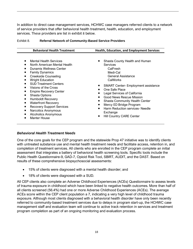In addition to direct case management services, HCHWC case managers referred clients to a network of service providers that offer behavioral health treatment, health, education, and employment services. These providers are list in exhibit 8 below.

|                                                                                                                                                                                                                                                                                                                                                                                                                                                                                                                                                                                   | <b>Behavioral Health Treatment</b><br>Health, Education, and Employment Services                                                                                                                                                                                                                                                                                                                                    |  |  |
|-----------------------------------------------------------------------------------------------------------------------------------------------------------------------------------------------------------------------------------------------------------------------------------------------------------------------------------------------------------------------------------------------------------------------------------------------------------------------------------------------------------------------------------------------------------------------------------|---------------------------------------------------------------------------------------------------------------------------------------------------------------------------------------------------------------------------------------------------------------------------------------------------------------------------------------------------------------------------------------------------------------------|--|--|
| <b>Mental Health Services</b><br>$\blacksquare$<br>North American Mental Health<br>Dunamis Wellness Center<br><b>Family Dynamics</b><br>■<br><b>Creekside Counseling</b><br>٠<br><b>Wright Education</b><br>■<br><b>SUD Treatment Centers</b><br>$\blacksquare$<br>Visions of the Cross<br>$\blacksquare$<br><b>Empire Recovery Center</b><br>٠<br><b>Shasta Options</b><br>٠<br><b>Humboldt Recovery</b><br>٠<br><b>Waterfront Recovery</b><br>٠<br><b>Recovery Support Services</b><br>٠<br>Narcotics Anonymous<br>■<br><b>Alcoholics Anonymous</b><br>■<br><b>Manter House</b> | Shasta County Health and Human<br>Services<br>CalFresh<br>Medi-Cal<br>General Assistance<br>CalWorks<br><b>SMART Center-Employment assistance</b><br>One Safe Place<br>Legal Services of California<br><b>Good News Rescue Mission</b><br><b>Shasta Community Health Center</b><br>Mercy ED Bridge Program<br>Harm Reduction services- Needle<br>$\blacksquare$<br>Exchange<br><b>Hill Country CARE Center</b><br>п |  |  |

#### Exhibit 8. **Referral Network of Community-Based Service Providers**

#### *Behavioral Health Treatment Needs*

One of the core goals for the CEP program and the statewide Prop 47 initiative was to identify clients with untreated substance use and mental health treatment needs and facilitate access, retention in, and completion of treatment services. All clients who are enrolled in the CEP program complete an initial assessment that integrates a battery of behavioral health screening tools. Specific tools include the Public Health Questionnaire-9, GAD-7, Opioid Risk Tool, SBIRT, AUDIT, and the DAST. Based on results of these comprehensive biopsychosocial assessments:

- 15% of clients were diagnosed with a mental health disorder; and
- 18% of clients were diagnosed with a SUD.

All CEP clients also complete an Adverse Childhood Experiences (ACEs) Questionnaire to assess levels of trauma exposure in childhood which have been linked to negative health outcomes. More than half of all clients screened (56.4%) had one or more Adverse Childhood Experiences (ACEs). The average ACEs score within the CEP client population a 7, indicating a very high level of childhood trauma exposure. Although most clients diagnosed with a behavioral health disorder have only been recently referred to community-based treatment services due to delays in program start-up, the HCHWC case management staff and evaluation team will continue to active track retention in services and treatment program completion as part of an ongoing monitoring and evaluation process.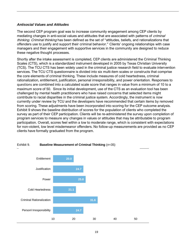#### *Antisocial Values and Attitudes*

The second CEP program goal was to increase community engagement among CEP clients by mediating changes in anti-social values and attitudes that are associated with patterns of *criminal* thinking. Criminal thinking has been defined as the set of "attitudes, beliefs, and rationalizations that offenders use to justify and support their criminal behavior." Clients' ongoing relationships with case managers and their engagement with supportive services in the community are designed to reduce these negative thought processes.

Shortly after the intake assessment is completed, CEP clients are administered the Criminal Thinking Scales (CTS), which is a standardized instrument developed in 2005 by Texas Christian University (TCS). The TCU CTS has been widely used in the criminal justice research field to evaluate intervention services. The TCU CTS questionnaire is divided into six multi-item scales or constructs that comprise the core elements of criminal thinking. These include measures of cold heartedness, criminal rationalization, entitlement, justification, personal irresponsibility, and power orientation. Responses to questions are combined into a calculated scale score that ranges in value from a minimum of 10 to a maximum score of 50. Since its initial development, use of the CTS as an evaluation tool has been challenged by mental health practitioners who have raised concerns that selected items might contribute to racial disparities in the criminal justice system. Accordingly, the instrument is now currently under review by TCU and the developers have recommended that certain items by removed from scoring. These adjustments have been incorporated into scoring for the CEP outcome analysis. Exhibit 9 shows the baseline distribution of scores for the population of clients who completed the survey as part of their CEP participation. Clients will be re-administered the survey upon completion of program services to measure any changes in values or attitudes that may be attributable to program participation. Overall, scores feel within a low to moderate range, which is consistent with expectations for non-violent, low level misdemeanor offenders. No follow-up measurements are provided as no CEP clients have formally graduated from the program.



#### Exhibit 9. **Baseline Measurement of Criminal Thinking** (*n=*35)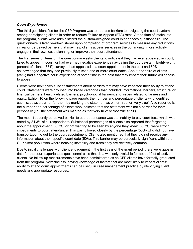#### *Court Experiences*

The third goal identified for the CEP Program was to address barriers to navigating the court system among participating clients in order to reduce Failure to Appear (FTA) rates. At the time of intake into the program, clients were administered the custom-designed court experiences questionnaire. The questionnaire is later re-administered upon completion of program services to measure any reductions in real or perceived barriers that may help clients access services in the community, more actively engage in their own case planning, or improve their court attendance.

The first series of items on the questionnaire asks clients to indicate if they had ever appeared in court, failed to appear in court, or had ever had negative experience navigating the court system. Eighty-eight percent of clients (88%) surveyed had appeared at a court appointment in the past and 89% acknowledged that they had previously missed one or more court dates. About one-third of clients (35%) had a negative court experience at some time in the past that may impact their future willingness to appear.

Clients were next given a list of statements about barriers that may have impacted their ability to attend court. Statements were grouped into broad categories that included: informational barriers, structural or financial barriers, health-related barriers, psycho-social barriers, and issues related to fairness and equity. Exhibit 10 on the following page reports the number and percentage of clients who identified each issue as a barrier for them by marking the statement as either 'true' or 'very true'. Also reported is the number and percentage of clients who indicated that the statement was not a barrier for them personally (i.e., the statement was marked as 'not very true' or 'not true at all').

The most frequently perceived barrier to court attendance was the inability to pay court fees, which was noted by 81.3% of all respondents. Substantial percentages of clients also reported that forgetting about the appointment (66.7%) or not wanting to be seen by anyone they knew (66.7%) were strong impediments to court attendance. This was followed closely by the percentage (58%) who did not have transportation to get to the court appointment. Clients also mentioned that they did not receive any information about their specific court date (50%). This barrier may be particularly significant within the CEP client population where housing instability and transiency are relatively common.

Due to initial challenges with client engagement in the first year of the grant period, there were gaps in data for the court experiences questionnaire, so that data was only available for about 40 of all active clients. No follow-up measurements have been administered as no CEP clients have formally graduated from the program. Nevertheless, having knowledge of factors that are most likely to impact clients' ability to attend court appointments can be useful in case management practice by identifying client needs and appropriate resources.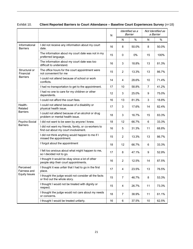|                                  |                                                                                             | $\mathsf{N}$ | Identified as a<br>Barrier |       |                | Not Identified as<br>a Barrier |
|----------------------------------|---------------------------------------------------------------------------------------------|--------------|----------------------------|-------|----------------|--------------------------------|
|                                  |                                                                                             |              | N                          | %     | N              | %                              |
| Informational<br><b>Barriers</b> | I did not receive any information about my court<br>date.                                   | 16           | 8                          | 50.0% | 8              | 50.0%                          |
|                                  | The information about my court date was not in my<br>preferred language.                    | 15           | 0                          | 0%    | 15             | 100%                           |
|                                  | The information about my court date was too<br>difficult to understand.                     | 16           | 3                          | 18.8% | 13             | 81.3%                          |
| Structural or<br>Financial       | The office hours for the court appointment were<br>not convenient for me                    | 15           | $\overline{2}$             | 13.3% | 13             | 86.7%                          |
| <b>Barriers</b>                  | I could not attend because of school or work<br>conflicts.                                  | 14           | 4                          | 28.6% | 10             | 71.4%                          |
|                                  | I had no transportation to get to the appointment.                                          | 17           | 10                         | 58.8% | $\overline{7}$ | 41.2%                          |
|                                  | I had no one to care for my children or other<br>dependents.                                | 12           | 3                          | 25.0% | 9              | 75.0%                          |
|                                  | I could not afford the court fees.                                                          | 16           | 13                         | 81.3% | 3              | 18.8%                          |
| Health-<br>Related               | I could not attend because of a disability or<br>physical health issue.                     | 17           | 3                          | 17.6% | 14             | 82.4%                          |
| <b>Barriers</b>                  | I could not attend because of an alcohol or drug<br>problem or mental health issue.         | 18           | 3                          | 16.7% | 15             | 83.3%                          |
| Psycho-Social<br><b>Barriers</b> | I did not want to be seen by anyone I knew.                                                 | 18           | 12                         | 66.7% | 6              | 33.3%                          |
|                                  | I did not want my friends, family, or co-workers to<br>find out about my court involvement. | 16           | 5                          | 31.3% | 11             | 68.8%                          |
|                                  | I did not think anything would happen to me if I<br>missed the appointment.                 | 15           | $\overline{2}$             | 13.3% | 13             | 86.7%                          |
|                                  | I forgot about the appointment                                                              | 18           | 12                         | 66.7% | 6              | 33.3%                          |
|                                  | I felt too anxious about what might happen to me,<br>so I decided not to go.                | 17           | 8                          | 47.1% | 9              | 52.9%                          |
|                                  | I thought it would be okay since a lot of other<br>people skip their court appointments.    | 16           | $\overline{2}$             | 12.5% | 14             | 87.5%                          |
| Perceived<br>Fairness and        | I thought it was unfair that I had to go in the first<br>place.                             | 17           | 4                          | 23.5% | 13             | 76.5%                          |
| <b>Equity Issues</b>             | I thought the judge would not consider all the facts<br>or find out the whole story.        | 15           | $\overline{7}$             | 46.7% | 8              | 53.3%                          |
|                                  | I thought I would not be treated with dignity or<br>respect.                                | 15           | 4                          | 26.7% | 11             | 73.3%                          |
|                                  | I thought the judge would not care about my needs<br>or concerns.                           | 18           | $\overline{7}$             | 38.9% | 11             | 61.1%                          |
|                                  | I thought I would be treated unfairly.                                                      | 16           | 6                          | 37.5% | 10             | 62.5%                          |

#### Exhibit 10. **Client Reported Barriers to Court Attendance – Baseline Court Experiences Survey** (*n=*18)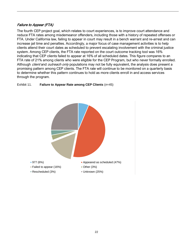#### Failure to Appear (FTA)

The fourth CEP project goal, which relates to court experiences, is to improve court attendance and reduce FTA rates among misdemeanor offenders, including those with a history of repeated offenses or FTA. Under California law, failing to appear in court may result in a bench warrant and re-arrest and can increase jail time and penalties. Accordingly, a major focus of case management activities is to help clients attend their court dates as scheduled to prevent escalating involvement with the criminal justice system. Among CEP clients, the FTA rate reported on the court outcome tracking tool was 16% indicating that CEP clients failed to appear at 16% of all scheduled dates. This figure compares to an FTA rate of 21% among clients who were eligible for the CEP Program, but who never formally enrolled. Although *client* and *outreach only* populations may not be fully equivalent, the analysis does present a promising pattern among CEP clients. The FTA rate will continue to be monitored on a quarterly basis to determine whether this pattern continues to hold as more clients enroll in and access services through the program.



#### Exhibit 11. **Failure to Appear Rate among CEP Clients** (*n=*45)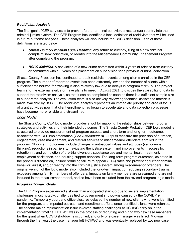#### *Recidivism Analysis*

The final goal of CEP services is to prevent further criminal behavior, arrest, and/or reentry into the criminal justice system. The CEP Program has identified a local definition of recidivism that will be used in future outcome analyses. These analyses will also include the BSCC definition. Each of these definitions are listed below:

- **Shasta County Probation Local Definition.** Any return to custody, filing of a new criminal complaint, new conviction, or reentry into the Misdemeanor Community Engagement Program after completing the program.
- **BSCC definition.** A conviction of a new crime committed within 3 years of release from custody or committed within 3 years of a placement on supervision for a previous criminal conviction.

Shasta County Probation has continued to track recidivism events among clients enrolled in the CEP program. The number of recorded events has been extremely low and the number of clients with a sufficient time horizon for tracking is also relatively low due to delays in program start-up. The project team and the external evaluator have plans to meet in August 2021 to discuss the availability of data to support the recidivism analysis, so that it can be completed as soon as there is a sufficient sample size to support the analysis. The evaluation team is also actively reviewing technical assistance materials made available by BSCC. The recidivism analysis represents an immediate priority and area of focus of grant activities now that client enrollment has begun to accelerate and data collection processes have become more reliable and streamlined.

#### Logic Model

The Shasta County CEP logic model provides a tool for mapping the relationships between program strategies and activities and their intended outcomes. The Shasta County Probation CEP logic model is structured to provide measurement of program outputs, and short-term and long-term outcomes associated with CEP implementation (See Attachment A). Outputs measure the provision of outreach, engagement, case management, and referral services to misdemeanor offenders enrolled in the program. Short-term outcomes include changes in anti-social values and attitudes (i.e., criminal thinking), reductions in barriers to navigating the justice system, and improvements in access to, retention in, and completion of pre-trial diversion, substance use and mental health treatment, employment assistance, and housing support services. The long-term program outcomes, as noted in the previous discussion, include reducing failure to appear (FTA) rates and preventing further criminal behavior, arrest, and/or reentry into the criminal justice system among misdemeanor offenders. The original version of the logic model also included the long-term impact of reducing secondary trauma exposure among family members of offenders. Impacts on family members are presumed and are not included in the measurement model, and so have been excluded from the revised program logic model.

#### *Progress Toward Goals*

The CEP Program experienced a slower than anticipated start-up due to several implementation challenges, most notably, challenges tied to government shutdowns caused by the COVID-19 pandemic. Temporary court and office closures delayed the number of new clients who were identified for the program, and impeded outreach and recruitment efforts once identified clients were referred. The second major implementation issue involved staffing challenges at HCHWC early on in the implementation timeline. HCHWC was in the process of recruiting and hiring two new case managers for the grant when COVID shutdowns occurred, and only one case manager was hired. Mid-way through the first year, the case manager left HCHWC and was eventually replaced by two new case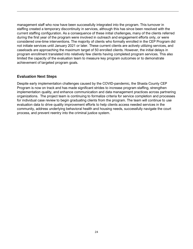management staff who now have been successfully integrated into the program. This turnover in staffing created a temporary discontinuity in services, although this has since been resolved with the current staffing configuration. As a consequence of these initial challenges, many of the clients referred during the first year of the program were involved in outreach and engagement efforts only, or were considered one-time interventions. The majority of clients who formally enrolled in the CEP Program did not initiate services until January 2021 or later. These current clients are actively utilizing services, and caseloads are approaching the maximum target of 50 enrolled clients. However, the initial delays in program enrollment translated into relatively few clients having completed program services. This also limited the capacity of the evaluation team to measure key program outcomes or to demonstrate achievement of targeted program goals.

#### **Evaluation Next Steps**

Despite early implementation challenges caused by the COVID-pandemic, the Shasta County CEP Program is now on track and has made significant strides to increase program staffing, strengthen implementation quality, and enhance communication and data management practices across partnering organizations. The project team is continuing to formalize criteria for service completion and processes for individual case review to begin graduating clients from the program. The team will continue to use evaluation data to drive quality improvement efforts to help clients access needed services in the community, address underlying behavioral health and housing needs, successfully navigate the court process, and prevent reentry into the criminal justice system.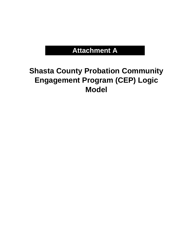# **Attachment A**

# **Shasta County Probation Community Engagement Program (CEP) Logic Model**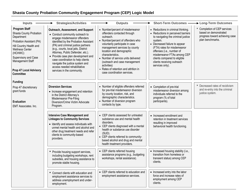## **Shasta County Probation Community Engagement Program (CEP) Logic Model**

| <b>Inputs</b>                                                                                                                                                                                                                                              | <b>Strategies/Activities</b>                                                                                                                                                                                                                                                                                                                                                                                                                  | <b>Outputs</b>                                                                                                                                                                                                                                                                                                                                                                                      | <b>Short-Term Outcomes -</b>                                                                                                                                                                                                                                                                                                          | + Long-Term Outcomes                                                                                      |
|------------------------------------------------------------------------------------------------------------------------------------------------------------------------------------------------------------------------------------------------------------|-----------------------------------------------------------------------------------------------------------------------------------------------------------------------------------------------------------------------------------------------------------------------------------------------------------------------------------------------------------------------------------------------------------------------------------------------|-----------------------------------------------------------------------------------------------------------------------------------------------------------------------------------------------------------------------------------------------------------------------------------------------------------------------------------------------------------------------------------------------------|---------------------------------------------------------------------------------------------------------------------------------------------------------------------------------------------------------------------------------------------------------------------------------------------------------------------------------------|-----------------------------------------------------------------------------------------------------------|
| <b>Program Staff</b><br>Shasta County Probation<br>Department<br>Probation Assistant (PA)<br>Hill Country Health and<br><b>Wellness Center</b><br>(HCHWC)<br>Supervisory and Case<br>Management Staff<br><b>Prop 47 Local Advisory</b><br><b>Committee</b> | Outreach, Assessment, and Support<br>• Conduct community outreach to<br>engage misdemeanor offenders<br>identified by the Probation Assistant<br>(PA) and criminal justice partners<br>(e.g., courts, local jails, District<br>Attorney, Public Defender, etc.).<br>• Provide case plan development and<br>case coordination to help clients<br>navigate the justice system and<br>access needed rehabilitative<br>services in the community. | • Number/percent of misdemeanor<br>offenders contacted through<br>outreach.<br>• Number/percent of offenders who<br>voluntarily participate in case<br>management services by county<br>location and demographic<br>characteristics.<br>• Number of service units delivered<br>(outreach and case management<br>activities)<br>• Rates of retention and attrition in<br>case coordination services. | • Reductions in criminal thinking.<br>• Reductions in perceived barriers<br>to navigating the criminal justice<br>system.<br>• Decreased failure to appear<br>(FTA) rates for misdemeanor<br>offenses (i.e., number of<br>misdemeanor FTAs among CEP<br>clients compared to eligible<br>clients receiving outreach<br>services only). | Completion of CEP services<br>based on demonstrated<br>progress toward achieving case<br>plan benchmarks. |
| <b>Funding</b>                                                                                                                                                                                                                                             | <b>Diversion Services</b>                                                                                                                                                                                                                                                                                                                                                                                                                     | • Number of eligible offenders referred                                                                                                                                                                                                                                                                                                                                                             |                                                                                                                                                                                                                                                                                                                                       | Decreased rates of recidivism                                                                             |
| Prop 47 discretionary<br>grant funds<br><b>Evaluation</b><br>EMT Associates, Inc.                                                                                                                                                                          | • Increase engagement and retention<br>in the District Attorney's<br>Misdemeanor Pre-Filing<br>Diversion/Crime Victim Advocate<br>Program.                                                                                                                                                                                                                                                                                                    | for pre-trial misdemeanor diversion<br>by county location, risk, and<br>demographic characteristics.<br>• Number of diversion program<br>contacts by type.                                                                                                                                                                                                                                          | • Completion of pre-trial<br>misdemeanor diversion among<br>individuals referred to the<br>program (% of total<br>participants).                                                                                                                                                                                                      | and re-entry into the criminal<br>justice system.                                                         |
|                                                                                                                                                                                                                                                            | <b>Intensive Case Management and</b><br><b>Linkages to Community Services</b><br>• Identify and assess individuals with<br>unmet mental health and alcohol and<br>other drug treatment needs and refer<br>clients to community-based<br>providers.                                                                                                                                                                                            | • CEP clients assessed for untreated<br>substance use and mental health<br>disorders.<br>• CEP clients diagnosed with a mental<br>health or substance use disorder<br>(SUD).<br>• CEP clients referred to community-<br>based alcohol and drug and mental<br>health treatment providers.                                                                                                            | • Increased enrollment and<br>retention in treatment services<br>resulting in improved<br>behavioral health functioning.                                                                                                                                                                                                              |                                                                                                           |
|                                                                                                                                                                                                                                                            | • Provide housing support services,<br>including budgeting workshops, rent<br>subsidies, and housing assistance to<br>promote stable housing.                                                                                                                                                                                                                                                                                                 | • CEP clients referred housing<br>assistance programs (e.g., budgeting<br>workshops, rental assistance).                                                                                                                                                                                                                                                                                            | • Increased housing stability (i.e.,<br>transition from homeless or<br>transient status) among CEP<br>clients.                                                                                                                                                                                                                        |                                                                                                           |
|                                                                                                                                                                                                                                                            | • Connect clients with education and<br>employment assistance services to<br>address unemployment and under-<br>employment.                                                                                                                                                                                                                                                                                                                   | • CEP clients referred to education and<br>employment assistance services.                                                                                                                                                                                                                                                                                                                          | • Increased entry into the labor<br>force and increase rates of<br>employment among CEP<br>clients.                                                                                                                                                                                                                                   |                                                                                                           |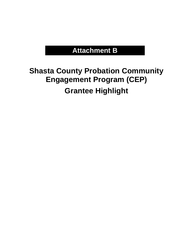# **Attachment B**

# **Shasta County Probation Community Engagement Program (CEP) Grantee Highlight**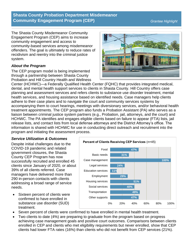### **Shasta County Probation Department Misdemeanor Community Engagement Program (CEP)** *Grantee Highlight**Grantee Highlight*

The Shasta County Misdemeanor Community Engagement Program (CEP) aims to increase community engagement and access to community-based services among misdemeanor offenders. The goal is ultimately to reduce rates of recidivism and reentry into the criminal justice system.

#### *About the Program*

The CEP program model is being implemented through a partnership between Shasta County Probation and Hill Country Health and Wellness



Center (HCHWC)—a Federally Qualified Health Center (FQHC) that provides integrated medical, dental, and mental health support services to clients in Shasta County. Hill Country offers case planning and assessment services and refers clients to substance use disorder treatment, mental health services, and housing assistance based on identified needs. Case managers help clients adhere to their case plans and to navigate the court and community services systems by accompanying them to court hearings, meetings with diversionary services, and/or behavioral health treatment appointments. The CEP program also funds a Probation Assistant (PA) who serves as a liaison between criminal justice system partners (e.g., Probation, jail, attorneys, and the court) and HCHWC. The PA identifies and engages eligible clients based on failure to appear (FTA) lists, jail release lists, and contact lists from local defense attorneys and the District Attorney's office. The information is shared with HCHWC for use in conducting direct outreach and recruitment into the program and initiating the assessment process.

### *Service Utilization & Outcomes*

Despite initial challenges due to the COVID-19 pandemic and related government closures, the Shasta County CEP Program has now successfully recruited and enrolled 45 clients since January of 2020, or about 39% of all clients referred. Case managers have delivered more than 290 in-person contacts with clients addressing a broad range of service needs.

Sixteen percent of clients were confirmed to have enrolled in substance use disorder (SUD) treatment.



- Seven percent of clients were confirmed to have enrolled in mental health treatment.
- Two clients to date (4%) are preparing to graduate from the program based on progress achieving case management goals and positive court outcomes. Comparisons between clients enrolled in CEP and clients who met eligibility requirements but never enrolled, show that CEP clients had lower FTA rates (16%) than clients who did not benefit from CEP services (21%).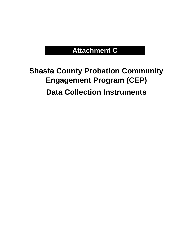# **Attachment C**

# **Shasta County Probation Community Engagement Program (CEP) Data Collection Instruments**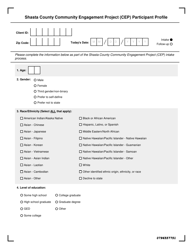### **Shasta County Community Engagement Project (CEP) Participant Profile**

| Client ID: $\begin{array}{ c c c c c }\n\hline\n\end{array}$ $\begin{array}{ c c c c }\n\hline\n\end{array}$ $\begin{array}{ c c c c }\n\hline\n\end{array}$ |                         |
|--------------------------------------------------------------------------------------------------------------------------------------------------------------|-------------------------|
|                                                                                                                                                              | Intake ●<br>Follow-up O |

Please complete the information below as part of the Shasta County Community Engagement Project (CEP) intake process.

| 1. Age:                                                                                                           |                    |                                                           |
|-------------------------------------------------------------------------------------------------------------------|--------------------|-----------------------------------------------------------|
| 2. Gender:<br>O Male<br>O Female<br>O Third gender/non-binary<br>O Prefer to self-define<br>O Prefer not to state |                    |                                                           |
| 3. Race/Ethnicity (Select ALL that apply):                                                                        |                    |                                                           |
| □ American Indian/Alaska Native                                                                                   |                    | □ Black or African American                               |
| □ Asian - Chinese                                                                                                 |                    | Hispanic, Latino, or Spanish                              |
| □ Asian - Japanese                                                                                                |                    | Middle Eastern/North African                              |
| □ Asian - Filipino                                                                                                |                    | □ Native Hawaiian/Pacific Islander - Native Hawaiian      |
| □ Asian - Korean                                                                                                  |                    | □ Native Hawaiian/Pacific Islander - Guamanian            |
| □ Asian - Vietnamese                                                                                              |                    | □ Native Hawaiian/Pacific Islander - Samoan               |
| Asian - Asian Indian                                                                                              |                    | □ Native Hawaiian/Pacific Islander - Other                |
| □ Asian - Laotian                                                                                                 |                    | $\square$ White                                           |
| $\Box$ Asian - Cambodian                                                                                          |                    | $\Box$ Other identified ethnic origin, ethnicity, or race |
| □ Asian - Other                                                                                                   |                    | $\Box$ Decline to state                                   |
| 4. Level of education:                                                                                            |                    |                                                           |
| O Some high school                                                                                                | O College graduate |                                                           |
| O High school graduate                                                                                            | O Graduate degree  |                                                           |
| O GED                                                                                                             | O Other            |                                                           |
| O Some college                                                                                                    |                    |                                                           |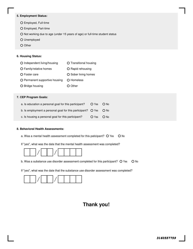#### **5. Employment Status:**

- Employed, Full-time
- Employed, Part-time
- O Not working due to age (under 15 years of age) or full-time student status
- Unemployed
- O Other

#### **6. Housing Status:**

| O Independent living/housing   | O Transitional housing |
|--------------------------------|------------------------|
| O Family/relative homes        | O Rapid rehousing      |
| O Foster care                  | O Sober living homes   |
| O Permanent supportive housing | O Homeless             |
| O Bridge housing               | O Other                |

#### **7. CEP Program Goals:**

| a. Is education a personal goal for this participant?                         | O Yes      | $O$ No |
|-------------------------------------------------------------------------------|------------|--------|
| b. Is employment a personal goal for this participant? $\circ$ Yes $\circ$ No |            |        |
| c. Is housing a personal goal for this participant?                           | O Yes O No |        |

#### **8. Behavioral Health Assessments:**

- a. Was a mental health assessment completed for this paticipant?  $O$  Yes  $O$  No
- If "yes", what was the date that the mental health assessment was completed?



- b. Was a substance use disorder assessment completed for this participant?  $O$  Yes  $O$  No
- If "yes", what was the date that the substance use disorder assessment was completed?



## **Thank you!**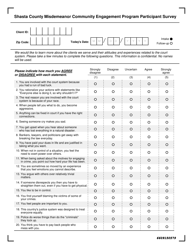### **Shasta County Misdemeanor Community Engagement Program Participant Survey**



*We would like to learn more about the clients we serve and their attitudes and experiences related to the court system. Please take a few minutes to complete the following questions. This information is confidential. No names will be used.*

| Please indicate how much you AGREE                                                                          | Strongly<br>disagree | Disagree | Uncertain | Agree    | Strongly<br>agree |
|-------------------------------------------------------------------------------------------------------------|----------------------|----------|-----------|----------|-------------------|
| or DISAGREE with each statement.                                                                            | (1)                  | (2)      | (3)       | (4)      | (5)               |
| 1. You are involved with the court system because<br>you had a run of bad luck.                             | $\circ$              | $\circ$  | $\circ$   | $\circ$  | O                 |
| 2. You rationalize your actions with statements like<br>"Everyone else is doing it, so why shouldn't I?"    | $\circ$              | O        | $\Omega$  | $\Omega$ | O                 |
| 3. The real reason you are involved with the court<br>system is because of your race.                       | $\circ$              | $\circ$  | $\circ$   | O        | O                 |
| 4. When people tell you what to do, you become<br>aggressive.                                               | $\circ$              | $\circ$  | $\circ$   | $\circ$  | O                 |
| 5. Anything can be fixed in court if you have the right<br>connections.                                     | O                    | O        | O         | O        | O                 |
| 6. Seeing someone cry makes you sad.                                                                        | $\circ$              | $\circ$  | $\circ$   | $\circ$  | $\circ$           |
| 7. You get upset when you hear about someone<br>who has lost everything in a natural disaster.              | $\circ$              | $\circ$  | O         | $\circ$  | O                 |
| 8. Bankers, lawyers, and politicians get away with<br>breaking the law everyday.                            | O                    | O        | O         | O        | O                 |
| 9. You have paid your dues in life and are justified in<br>taking what you want.                            | $\circ$              | $\circ$  | $\circ$   | O        | $\circ$           |
| 10. When not in control of a situation, you feel the<br>need to exert power over others.                    | $\circ$              | $\circ$  | $\circ$   | $\circ$  | $\circ$           |
| 11. When being asked about the motives for engaging<br>in crime, you point out how hard your life has been. | $\circ$              | $\circ$  | $\circ$   | $\circ$  | O                 |
| 12. You are sometimes so moved by an experience<br>that you feel emotions you cannot describe.              | O                    | O        | $\circ$   | O        | O                 |
| 13. You argue with others over relatively trivial<br>matters.                                               | $\circ$              | $\circ$  | $\circ$   | $\circ$  | O                 |
| 14. If someone disrespects you then you have to<br>straighten them out, even if you have to get physical.   | O                    | $\circ$  | $\circ$   | O        | $\circ$           |
| 15. You like to be in control.                                                                              | $\circ$              | $\circ$  | $\circ$   | O        | O                 |
| 16. You find yourself blaming the victims of some of<br>your crimes.                                        | O                    | O        | O         | O        | O                 |
| 17. You feel people are important to you.                                                                   | $\circ$              | $\circ$  | $\circ$   | O        | O                 |
| 18. This country's justice system was designed to treat<br>everyone equally.                                | $\circ$              | $\circ$  | O         | O        | O                 |
| 19. Police do worse things than do the "criminals"<br>they lock up.                                         | $\circ$              | $\circ$  | $\circ$   | O        | $\circ$           |
| 20. You think you have to pay back people who<br>mess with you.                                             | $\circ$              | $\circ$  | $\circ$   | $\circ$  | $\circ$           |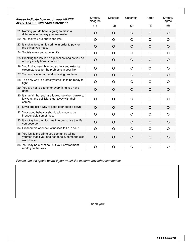| Please indicate how much you AGREE                                                                                   | Strongly<br>disagree | Disagree | Uncertain | Agree    | Strongly<br>agree |
|----------------------------------------------------------------------------------------------------------------------|----------------------|----------|-----------|----------|-------------------|
| or DISAGREE with each statement.                                                                                     | (1)                  | (2)      | (3)       | (4)      | (5)               |
| 21. Nothing you do here is going to make a<br>difference in the way you are treated.                                 | $\circ$              | $\circ$  | $\circ$   | $\circ$  | $\circ$           |
| 22. You feel you are above the law.                                                                                  | $\circ$              | O        | $\circ$   | $\circ$  | O                 |
| 23. It is okay to commit a crime in order to pay for<br>the things you need.                                         | $\Omega$             | $\Omega$ | $\Omega$  | $\Omega$ | $\Omega$          |
| 24. Society owes you a better life.                                                                                  | $\circ$              | O        | $\circ$   | O        | O                 |
| 25. Breaking the law is no big deal as long as you do<br>not physically harm someone.                                | $\circ$              | $\Omega$ | $\Omega$  | $\Omega$ | $\circ$           |
| 26. You find yourself blaming society and external<br>circumstances for the problems in your life.                   | $\circ$              | $\Omega$ | $\Omega$  | $\circ$  | O                 |
| 27. You worry when a friend is having problems.                                                                      | $\circ$              | $\circ$  | $\circ$   | $\circ$  | O                 |
| 28. The only way to protect yourself is to be ready to<br>fight.                                                     | $\circ$              | O        | O         | $\circ$  | O                 |
| 29. You are not to blame for everything you have<br>done.                                                            | $\circ$              | $\circ$  | $\circ$   | $\circ$  | $\Omega$          |
| 30. It is unfair that your are locked-up when bankers,<br>lawyers, and politicians get away with their<br>crimes.    | O                    | O        | $\Omega$  | $\Omega$ | O                 |
| 31. Laws are just a way to keep poor people down.                                                                    | $\circ$              | $\circ$  | $\circ$   | $\circ$  | O                 |
| 32. Your good behavior should allow you to be<br>irresponsible sometimes.                                            | O                    | O        | $\circ$   | $\circ$  | O                 |
| 33. It is okay to commit crime in order to live the life<br>you deserve.                                             | $\circ$              | $\circ$  | $\Omega$  | $\circ$  | $\circ$           |
| 34. Prosecuters often tell witnesses to lie in court.                                                                | $\Omega$             | $\Omega$ | $\Omega$  | $\circ$  | $\circ$           |
| 35. You justify the crime you commit by telling<br>yourself that if you had not done it, someone else<br>would have. | $\circ$              | $\Omega$ | O         | $\circ$  | O                 |
| 36. You may be a criminal, but your environment<br>made you that way.                                                | O                    | O        | O         | O        | O                 |

*Please use the space below if you would like to share any other comments:*

Thank you!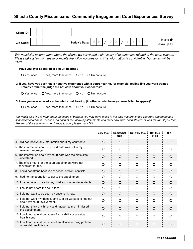### **Shasta County Misdemeanor Community Engagement Court Experiences Survey**

| Client ID: |                                 |
|------------|---------------------------------|
| Zip Code:  | Intake $\bullet$<br>Follow-up O |

*We would like to learn more about the clients we serve and their history of experiences related to the court system. Please take a few minutes to complete the following questions. This information is confidential. No names will be used.*

| 1. Have you ever appeared at a court hearing? |  |
|-----------------------------------------------|--|
|-----------------------------------------------|--|

O Yes, once O Yes, more than once O No O I'm not sure

- **2. If yes, have you ever had a negative experience with a court hearing, for example, feeling like you were treated unfairly or that the judge did not care about your concerns?**
	- $O$  Yes, once  $O$  Yes, more than once  $O$  No  $O$  I'm not sure

#### **3. Have you ever missed a scheduled court hearing (in other words, have you ever failed to appear)?**

O Yes, once O Yes, more than once O No O I'm not sure

*We would also like to hear about the types of barriers you may have faced in the past that prevented you from appearing at a scheduled court date. Please read each of the following statements and mark how 'true' each statement was for you. If you feel like any of the statements don't apply to you, please mark N/A.*

|                                                                                                 | Very true | Somewhat<br>true | Not very true | Not true<br>at all | N/A |
|-------------------------------------------------------------------------------------------------|-----------|------------------|---------------|--------------------|-----|
| 4. I did not receive any information about my court date.                                       | $\circ$   | $\circ$          | $\Omega$      | $\Omega$           | O   |
| 5. The information about my court date was not in my<br>preferred language.                     | O         | ∩                | ∩             | O                  | ∩   |
| 6. The information about my court date was too difficult to<br>understand.                      | $\Omega$  | $\Omega$         | $\Omega$      | O                  | O   |
| 7. The office hours for the court appointment were not<br>convenient for me.                    | ∩         | ∩                | ∩             | ∩                  | ∩   |
| 8. I could not attend because of school or work conflicts.                                      | O         | O                | $\circ$       | O                  | O   |
| 9. I had no transportation to get to the appointment.                                           | O         | $\Omega$         | O             | O                  | O   |
| 10. I had no one to care for my children or other dependents.                                   | $\Omega$  | O                | O             | O                  | O   |
| 11. I could not afford the court fees.                                                          | O         | O                | O             | O                  | O   |
| 12. I did not want to be seen by anyone I knew.                                                 | O         | ∩                | ∩             | $\Omega$           | O   |
| 13. I did not want my friends, family, or co-workers to find out<br>about my court involvement. | ∩         | ∩                | ∩             | ∩                  | ∩   |
| 14. I did not think anything would happen to me if I missed<br>the appointment.                 | O         | $\Omega$         | $\Omega$      | O                  | O   |
| 15. I could not attend because of a disability or physical<br>health issue.                     | O         | O                | O             | O                  | ∩   |
| 16. I could not attend because of an alcohol or drug problem<br>or mental health issue.         | O         | O                | O             | O                  | O   |